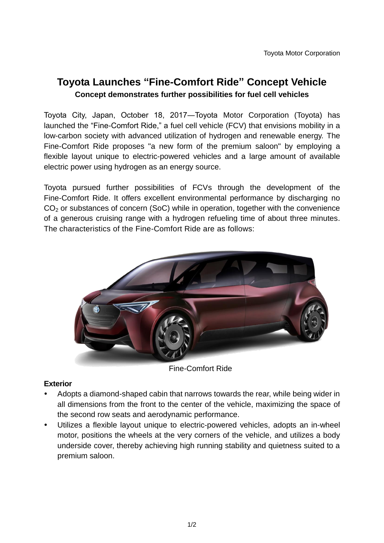# **Toyota Launches "Fine-Comfort Ride" Concept Vehicle Concept demonstrates further possibilities for fuel cell vehicles**

Toyota City, Japan, October 18, 2017―Toyota Motor Corporation (Toyota) has launched the "Fine-Comfort Ride," a fuel cell vehicle (FCV) that envisions mobility in a low-carbon society with advanced utilization of hydrogen and renewable energy. The Fine-Comfort Ride proposes "a new form of the premium saloon" by employing a flexible layout unique to electric-powered vehicles and a large amount of available electric power using hydrogen as an energy source.

Toyota pursued further possibilities of FCVs through the development of the Fine-Comfort Ride. It offers excellent environmental performance by discharging no CO<sub>2</sub> or substances of concern (SoC) while in operation, together with the convenience of a generous cruising range with a hydrogen refueling time of about three minutes. The characteristics of the Fine-Comfort Ride are as follows:



Fine-Comfort Ride

## **Exterior**

- Adopts a diamond-shaped cabin that narrows towards the rear, while being wider in all dimensions from the front to the center of the vehicle, maximizing the space of the second row seats and aerodynamic performance.
- Utilizes a flexible layout unique to electric-powered vehicles, adopts an in-wheel motor, positions the wheels at the very corners of the vehicle, and utilizes a body underside cover, thereby achieving high running stability and quietness suited to a premium saloon.